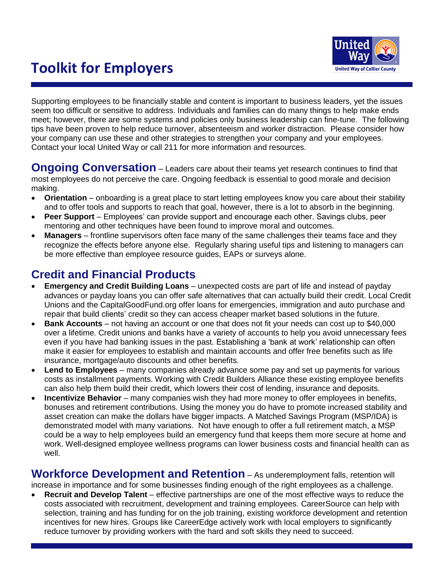# **Toolkit for Employers**



Supporting employees to be financially stable and content is important to business leaders, yet the issues seem too difficult or sensitive to address. Individuals and families can do many things to help make ends meet; however, there are some systems and policies only business leadership can fine-tune. The following tips have been proven to help reduce turnover, absenteeism and worker distraction. Please consider how your company can use these and other strategies to strengthen your company and your employees. Contact your local United Way or call 211 for more information and resources.

**Ongoing Conversation** – Leaders care about their teams yet research continues to find that most employees do not perceive the care. Ongoing feedback is essential to good morale and decision making.

- **Orientation** onboarding is a great place to start letting employees know you care about their stability and to offer tools and supports to reach that goal, however, there is a lot to absorb in the beginning.
- **Peer Support** Employees" can provide support and encourage each other. Savings clubs, peer mentoring and other techniques have been found to improve moral and outcomes.
- **Managers** frontline supervisors often face many of the same challenges their teams face and they recognize the effects before anyone else. Regularly sharing useful tips and listening to managers can be more effective than employee resource guides, EAPs or surveys alone.

## **Credit and Financial Products**

- **Emergency and Credit Building Loans** unexpected costs are part of life and instead of payday advances or payday loans you can offer safe alternatives that can actually build their credit. Local Credit Unions and the CapitalGoodFund.org offer loans for emergencies, immigration and auto purchase and repair that build clients" credit so they can access cheaper market based solutions in the future.
- **Bank Accounts** not having an account or one that does not fit your needs can cost up to \$40,000 over a lifetime. Credit unions and banks have a variety of accounts to help you avoid unnecessary fees even if you have had banking issues in the past. Establishing a "bank at work" relationship can often make it easier for employees to establish and maintain accounts and offer free benefits such as life insurance, mortgage/auto discounts and other benefits.
- **Lend to Employees**  many companies already advance some pay and set up payments for various costs as installment payments. Working with Credit Builders Alliance these existing employee benefits can also help them build their credit, which lowers their cost of lending, insurance and deposits.
- **Incentivize Behavior** many companies wish they had more money to offer employees in benefits, bonuses and retirement contributions. Using the money you do have to promote increased stability and asset creation can make the dollars have bigger impacts. A Matched Savings Program (MSP/IDA) is demonstrated model with many variations. Not have enough to offer a full retirement match, a MSP could be a way to help employees build an emergency fund that keeps them more secure at home and work. Well-designed employee wellness programs can lower business costs and financial health can as well.

**Workforce Development and Retention** – As underemployment falls, retention will

increase in importance and for some businesses finding enough of the right employees as a challenge.

 **Recruit and Develop Talent** – effective partnerships are one of the most effective ways to reduce the costs associated with recruitment, development and training employees. CareerSource can help with selection, training and has funding for on the job training, existing workforce development and retention incentives for new hires. Groups like CareerEdge actively work with local employers to significantly reduce turnover by providing workers with the hard and soft skills they need to succeed.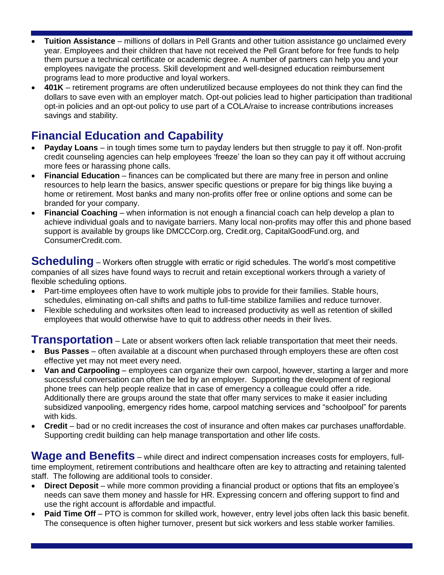- **Tuition Assistance** millions of dollars in Pell Grants and other tuition assistance go unclaimed every year. Employees and their children that have not received the Pell Grant before for free funds to help them pursue a technical certificate or academic degree. A number of partners can help you and your employees navigate the process. Skill development and well-designed education reimbursement programs lead to more productive and loyal workers.
- **401K** retirement programs are often underutilized because employees do not think they can find the dollars to save even with an employer match. Opt-out policies lead to higher participation than traditional opt-in policies and an opt-out policy to use part of a COLA/raise to increase contributions increases savings and stability.

## **Financial Education and Capability**

- **Payday Loans** in tough times some turn to payday lenders but then struggle to pay it off. Non-profit credit counseling agencies can help employees "freeze" the loan so they can pay it off without accruing more fees or harassing phone calls.
- **Financial Education** finances can be complicated but there are many free in person and online resources to help learn the basics, answer specific questions or prepare for big things like buying a home or retirement. Most banks and many non-profits offer free or online options and some can be branded for your company.
- **Financial Coaching** when information is not enough a financial coach can help develop a plan to achieve individual goals and to navigate barriers. Many local non-profits may offer this and phone based support is available by groups like DMCCCorp.org, Credit.org, CapitalGoodFund.org, and ConsumerCredit.com.

**Scheduling** – Workers often struggle with erratic or rigid schedules. The world's most competitive companies of all sizes have found ways to recruit and retain exceptional workers through a variety of flexible scheduling options.

- Part-time employees often have to work multiple jobs to provide for their families. Stable hours, schedules, eliminating on-call shifts and paths to full-time stabilize families and reduce turnover.
- Flexible scheduling and worksites often lead to increased productivity as well as retention of skilled employees that would otherwise have to quit to address other needs in their lives.

**Transportation** – Late or absent workers often lack reliable transportation that meet their needs.

- **Bus Passes** often available at a discount when purchased through employers these are often cost effective yet may not meet every need.
- **Van and Carpooling** employees can organize their own carpool, however, starting a larger and more successful conversation can often be led by an employer. Supporting the development of regional phone trees can help people realize that in case of emergency a colleague could offer a ride. Additionally there are groups around the state that offer many services to make it easier including subsidized vanpooling, emergency rides home, carpool matching services and "schoolpool" for parents with kids.
- **Credit**  bad or no credit increases the cost of insurance and often makes car purchases unaffordable. Supporting credit building can help manage transportation and other life costs.

**Wage and Benefits** – while direct and indirect compensation increases costs for employers, fulltime employment, retirement contributions and healthcare often are key to attracting and retaining talented staff. The following are additional tools to consider.

- **Direct Deposit** while more common providing a financial product or options that fits an employee"s needs can save them money and hassle for HR. Expressing concern and offering support to find and use the right account is affordable and impactful.
- **Paid Time Off** PTO is common for skilled work, however, entry level jobs often lack this basic benefit. The consequence is often higher turnover, present but sick workers and less stable worker families.